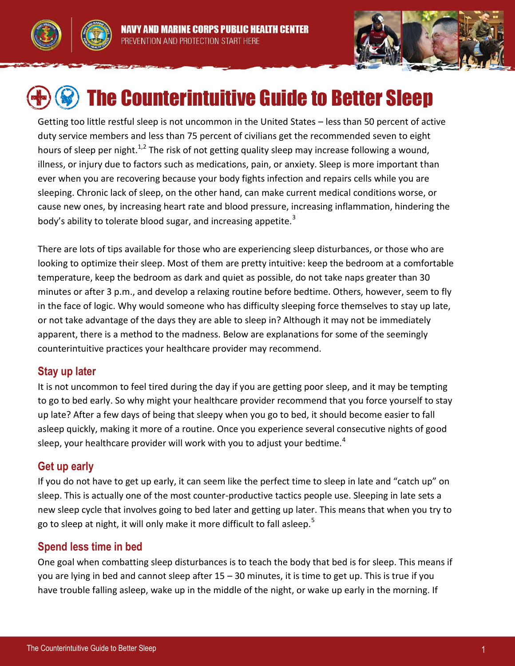



# The Counterintuitive Guide to Better Sleep

Getting too little restful sleep is not uncommon in the United States – less than 50 percent of active duty service members and less than 75 percent of civilians get the recommended seven to eight hours of sleep per night.<sup>1,2</sup> The risk of not getting quality sleep may increase following a wound, illness, or injury due to factors such as medications, pain, or anxiety. Sleep is more important than ever when you are recovering because your body fights infection and repairs cells while you are sleeping. Chronic lack of sleep, on the other hand, can make current medical conditions worse, or cause new ones, by increasing heart rate and blood pressure, increasing inflammation, hindering the body's ability to tolerate blood sugar, and increasing appetite.<sup>3</sup>

There are lots of tips available for those who are experiencing sleep disturbances, or those who are looking to optimize their sleep. Most of them are pretty intuitive: keep the bedroom at a comfortable temperature, keep the bedroom as dark and quiet as possible, do not take naps greater than 30 minutes or after 3 p.m., and develop a relaxing routine before bedtime. Others, however, seem to fly in the face of logic. Why would someone who has difficulty sleeping force themselves to stay up late, or not take advantage of the days they are able to sleep in? Although it may not be immediately apparent, there is a method to the madness. Below are explanations for some of the seemingly counterintuitive practices your healthcare provider may recommend.

## **Stay up later**

It is not uncommon to feel tired during the day if you are getting poor sleep, and it may be tempting to go to bed early. So why might your healthcare provider recommend that you force yourself to stay up late? After a few days of being that sleepy when you go to bed, it should become easier to fall asleep quickly, making it more of a routine. Once you experience several consecutive nights of good sleep, your healthcare provider will work with you to adjust your bedtime.<sup>4</sup>

## **Get up early**

If you do not have to get up early, it can seem like the perfect time to sleep in late and "catch up" on sleep. This is actually one of the most counter-productive tactics people use. Sleeping in late sets a new sleep cycle that involves going to bed later and getting up later. This means that when you try to go to sleep at night, it will only make it more difficult to fall asleep.<sup>5</sup>

# **Spend less time in bed**

One goal when combatting sleep disturbances is to teach the body that bed is for sleep. This means if you are lying in bed and cannot sleep after 15 – 30 minutes, it is time to get up. This is true if you have trouble falling asleep, wake up in the middle of the night, or wake up early in the morning. If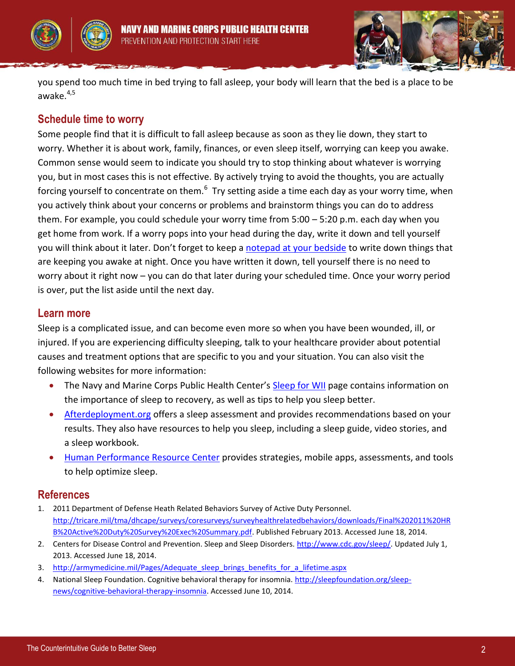



you spend too much time in bed trying to fall asleep, your body will learn that the bed is a place to be awake. $4,5$ 

## **Schedule time to worry**

Some people find that it is difficult to fall asleep because as soon as they lie down, they start to worry. Whether it is about work, family, finances, or even sleep itself, worrying can keep you awake. Common sense would seem to indicate you should try to stop thinking about whatever is worrying you, but in most cases this is not effective. By actively trying to avoid the thoughts, you are actually forcing yourself to concentrate on them.<sup>6</sup> Try setting aside a time each day as your worry time, when you actively think about your concerns or problems and brainstorm things you can do to address them. For example, you could schedule your worry time from 5:00 – 5:20 p.m. each day when you get home from work. If a worry pops into your head during the day, write it down and tell yourself you will think about it later. Don't forget to keep a [notepad at your bedside](http://www.med.navy.mil/sites/nmcphc/Documents/health-promotion-wellness/wounded-ill-and-injured/Sleep-for-WII/WII_Sleep_BedsideThoughtOrganizer.pdf) to write down things that are keeping you awake at night. Once you have written it down, tell yourself there is no need to worry about it right now – you can do that later during your scheduled time. Once your worry period is over, put the list aside until the next day.

#### **Learn more**

Sleep is a complicated issue, and can become even more so when you have been wounded, ill, or injured. If you are experiencing difficulty sleeping, talk to your healthcare provider about potential causes and treatment options that are specific to you and your situation. You can also visit the following websites for more information:

- The Navy and Marine Corps Public Health Center's [Sleep for WII](http://www.med.navy.mil/sites/nmcphc/health-promotion/Pages/wii-sleep.aspx) page contains information on the importance of sleep to recovery, as well as tips to help you sleep better.
- [Afterdeployment.org](http://afterdeployment.t2.health.mil/topics-sleep) offers a sleep assessment and provides recommendations based on your results. They also have resources to help you sleep, including a sleep guide, video stories, and a sleep workbook.
- [Human Performance Resource Center](http://hprc-online.org/mind-tactics/sleep-optimization-1) provides strategies, mobile apps, assessments, and tools to help optimize sleep.

## **References**

- 1. 2011 Department of Defense Heath Related Behaviors Survey of Active Duty Personnel. [http://tricare.mil/tma/dhcape/surveys/coresurveys/surveyhealthrelatedbehaviors/downloads/Final%202011%20HR](http://tricare.mil/tma/dhcape/surveys/coresurveys/surveyhealthrelatedbehaviors/downloads/Final%202011%20HRB%20Active%20Duty%20Survey%20Exec%20Summary.pdf) [B%20Active%20Duty%20Survey%20Exec%20Summary.pdf.](http://tricare.mil/tma/dhcape/surveys/coresurveys/surveyhealthrelatedbehaviors/downloads/Final%202011%20HRB%20Active%20Duty%20Survey%20Exec%20Summary.pdf) Published February 2013. Accessed June 18, 2014.
- 2. Centers for Disease Control and Prevention. Sleep and Sleep Disorders. [http://www.cdc.gov/sleep/.](http://www.cdc.gov/sleep/) Updated July 1, 2013. Accessed June 18, 2014.
- 3. [http://armymedicine.mil/Pages/Adequate\\_sleep\\_brings\\_benefits\\_for\\_a\\_lifetime.aspx](http://armymedicine.mil/Pages/Adequate_sleep_brings_benefits_for_a_lifetime.aspx)
- 4. National Sleep Foundation. Cognitive behavioral therapy for insomnia. [http://sleepfoundation.org/sleep](http://sleepfoundation.org/sleep-news/cognitive-behavioral-therapy-insomnia)[news/cognitive-behavioral-therapy-insomnia.](http://sleepfoundation.org/sleep-news/cognitive-behavioral-therapy-insomnia) Accessed June 10, 2014.